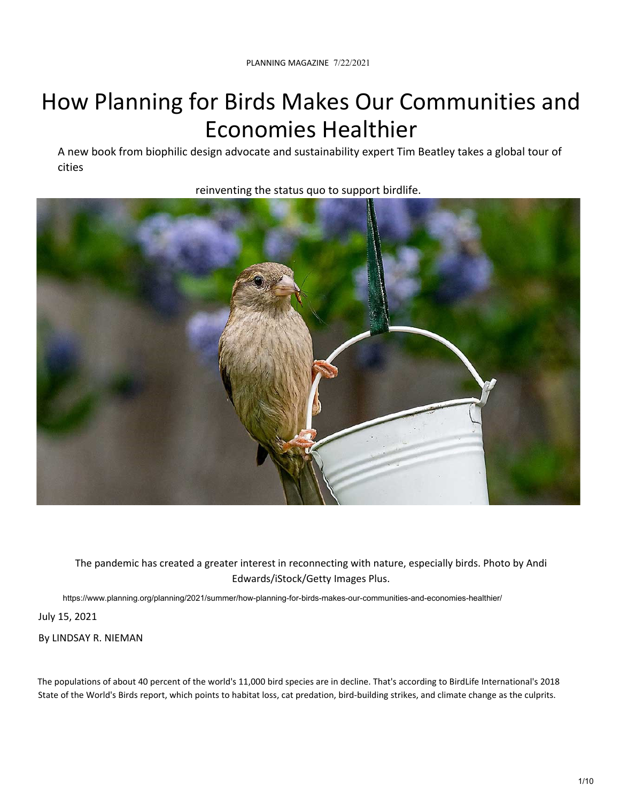A new book from biophilic design advocate and sustainability expert Tim Beatley takes a global tour of cities



reinventing the status quo to support birdlife.

The pandemic has created a greater interest in reconnecting with nature, especially birds. Photo by Andi Edwards/iStock/Getty Images Plus.

https://www.planning.org/planning/2021/summer/how-planning-for-birds-makes-our-communities-and-economies-healthier/

July 15, 2021

By LINDSAY R. NIEMAN

The populations of about 40 percent of the world's 11,000 bird species are in decline. That's according to BirdLife International's 2018 State of the World's Birds report, which points to habitat loss, cat predation, bird‐building strikes, and climate change as the culprits.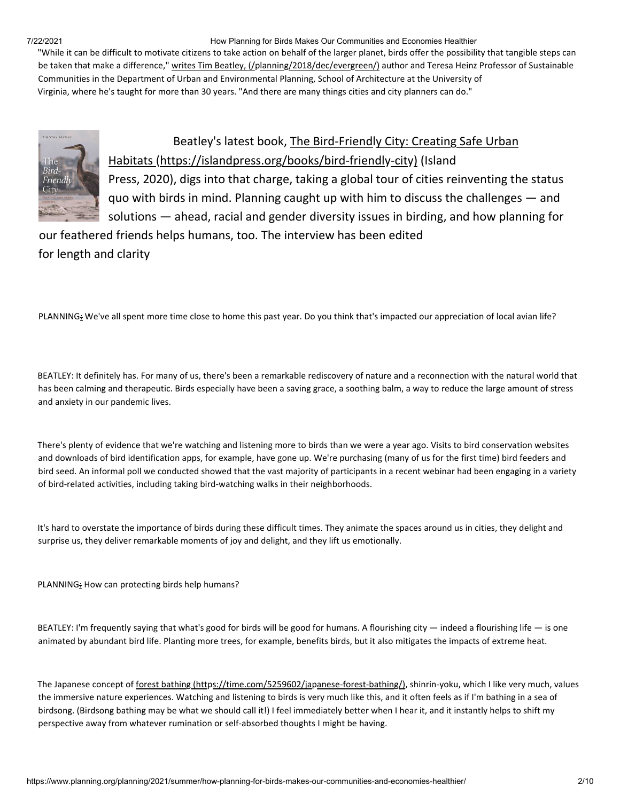"While it can be difficult to motivate citizens to take action on behalf of the larger planet, birds offer the possibility that tangible steps can be taken that make a difference," writes Tim Beatley, (/planning/2018/dec/evergreen/) author and Teresa Heinz Professor of Sustainable Communities in the Department of Urban and Environmental Planning, School of Architecture at the University of Virginia, where he's taught for more than 30 years. "And there are many things cities and city planners can do."



## Beatley's latest book, The Bird‐Friendly City: Creating Safe Urban Habitats (https://islandpress.org/books/bird‐friendly‐city) (Island Press, 2020), digs into that charge, taking a global tour of cities reinventing the status

quo with birds in mind. Planning caught up with him to discuss the challenges — and

solutions — ahead, racial and gender diversity issues in birding, and how planning for our feathered friends helps humans, too. The interview has been edited

for length and clarity

PLANNING: We've all spent more time close to home this past year. Do you think that's impacted our appreciation of local avian life?

BEATLEY: It definitely has. For many of us, there's been a remarkable rediscovery of nature and a reconnection with the natural world that has been calming and therapeutic. Birds especially have been a saving grace, a soothing balm, a way to reduce the large amount of stress and anxiety in our pandemic lives.

There's plenty of evidence that we're watching and listening more to birds than we were a year ago. Visits to bird conservation websites and downloads of bird identification apps, for example, have gone up. We're purchasing (many of us for the first time) bird feeders and bird seed. An informal poll we conducted showed that the vast majority of participants in a recent webinar had been engaging in a variety of bird‐related activities, including taking bird‐watching walks in their neighborhoods.

It's hard to overstate the importance of birds during these difficult times. They animate the spaces around us in cities, they delight and surprise us, they deliver remarkable moments of joy and delight, and they lift us emotionally.

PLANNING: How can protecting birds help humans?

BEATLEY: I'm frequently saying that what's good for birds will be good for humans. A flourishing city — indeed a flourishing life — is one animated by abundant bird life. Planting more trees, for example, benefits birds, but it also mitigates the impacts of extreme heat.

The Japanese concept of forest bathing (https://time.com/5259602/japanese-forest-bathing/), shinrin-yoku, which I like very much, values the immersive nature experiences. Watching and listening to birds is very much like this, and it often feels as if I'm bathing in a sea of birdsong. (Birdsong bathing may be what we should call it!) I feel immediately better when I hear it, and it instantly helps to shift my perspective away from whatever rumination or self-absorbed thoughts I might be having.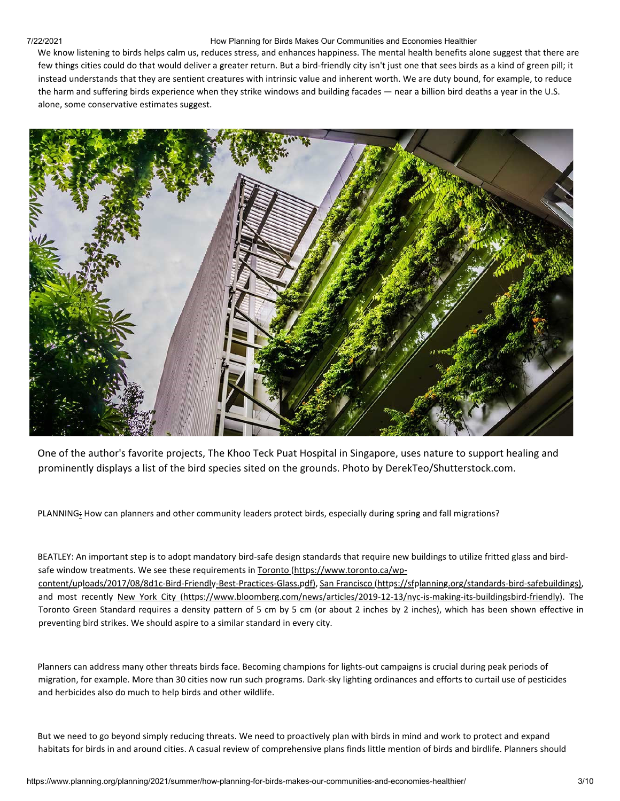We know listening to birds helps calm us, reduces stress, and enhances happiness. The mental health benefits alone suggest that there are few things cities could do that would deliver a greater return. But a bird‐friendly city isn't just one that sees birds as a kind of green pill; it instead understands that they are sentient creatures with intrinsic value and inherent worth. We are duty bound, for example, to reduce the harm and suffering birds experience when they strike windows and building facades — near a billion bird deaths a year in the U.S. alone, some conservative estimates suggest.



One of the author's favorite projects, The Khoo Teck Puat Hospital in Singapore, uses nature to support healing and prominently displays a list of the bird species sited on the grounds. Photo by DerekTeo/Shutterstock.com.

PLANNING: How can planners and other community leaders protect birds, especially during spring and fall migrations?

BEATLEY: An important step is to adopt mandatory bird‐safe design standards that require new buildings to utilize fritted glass and bird‐ safe window treatments. We see these requirements in Toronto (https://www.toronto.ca/wp‐ content/uploads/2017/08/8d1c‐Bird‐Friendly‐Best‐Practices‐Glass.pdf), San Francisco (https://sfplanning.org/standards‐bird‐safebuildings), and most recently New York City (https://www.bloomberg.com/news/articles/2019-12-13/nyc-is-making-its-buildingsbird-friendly). The Toronto Green Standard requires a density pattern of 5 cm by 5 cm (or about 2 inches by 2 inches), which has been shown effective in preventing bird strikes. We should aspire to a similar standard in every city.

Planners can address many other threats birds face. Becoming champions for lights‐out campaigns is crucial during peak periods of migration, for example. More than 30 cities now run such programs. Dark‐sky lighting ordinances and efforts to curtail use of pesticides and herbicides also do much to help birds and other wildlife.

But we need to go beyond simply reducing threats. We need to proactively plan with birds in mind and work to protect and expand habitats for birds in and around cities. A casual review of comprehensive plans finds little mention of birds and birdlife. Planners should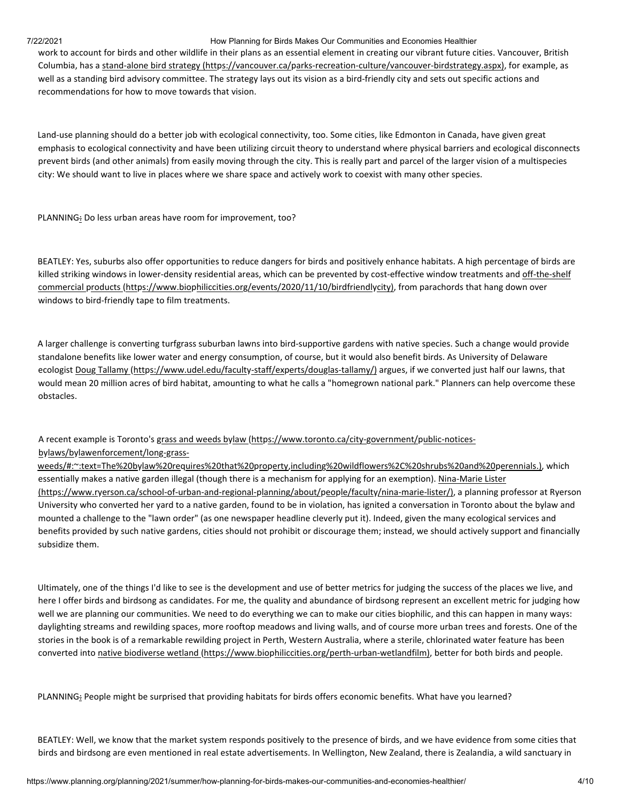work to account for birds and other wildlife in their plans as an essential element in creating our vibrant future cities. Vancouver, British Columbia, has a stand‐alone bird strategy (https://vancouver.ca/parks‐recreation‐culture/vancouver‐birdstrategy.aspx), for example, as well as a standing bird advisory committee. The strategy lays out its vision as a bird-friendly city and sets out specific actions and recommendations for how to move towards that vision.

Land‐use planning should do a better job with ecological connectivity, too. Some cities, like Edmonton in Canada, have given great emphasis to ecological connectivity and have been utilizing circuit theory to understand where physical barriers and ecological disconnects prevent birds (and other animals) from easily moving through the city. This is really part and parcel of the larger vision of a multispecies city: We should want to live in places where we share space and actively work to coexist with many other species.

PLANNING: Do less urban areas have room for improvement, too?

BEATLEY: Yes, suburbs also offer opportunities to reduce dangers for birds and positively enhance habitats. A high percentage of birds are killed striking windows in lower-density residential areas, which can be prevented by cost-effective window treatments and off-the-shelf commercial products (https://www.biophiliccities.org/events/2020/11/10/birdfriendlycity), from parachords that hang down over windows to bird-friendly tape to film treatments.

A larger challenge is converting turfgrass suburban lawns into bird‐supportive gardens with native species. Such a change would provide standalone benefits like lower water and energy consumption, of course, but it would also benefit birds. As University of Delaware ecologist Doug Tallamy (https://www.udel.edu/faculty-staff/experts/douglas-tallamy/) argues, if we converted just half our lawns, that would mean 20 million acres of bird habitat, amounting to what he calls a "homegrown national park." Planners can help overcome these obstacles.

### A recent example is Toronto's grass and weeds bylaw (https://www.toronto.ca/city-government/public-noticesbylaws/bylawenforcement/long‐grass‐

weeds/#:~:text=The%20bylaw%20requires%20that%20property,including%20wildflowers%2C%20shrubs%20and%20perennials.), which essentially makes a native garden illegal (though there is a mechanism for applying for an exemption). Nina-Marie Lister (https://www.ryerson.ca/school‐of‐urban‐and‐regional‐planning/about/people/faculty/nina‐marie‐lister/), a planning professor at Ryerson University who converted her yard to a native garden, found to be in violation, has ignited a conversation in Toronto about the bylaw and mounted a challenge to the "lawn order" (as one newspaper headline cleverly put it). Indeed, given the many ecological services and benefits provided by such native gardens, cities should not prohibit or discourage them; instead, we should actively support and financially subsidize them.

Ultimately, one of the things I'd like to see is the development and use of better metrics for judging the success of the places we live, and here I offer birds and birdsong as candidates. For me, the quality and abundance of birdsong represent an excellent metric for judging how well we are planning our communities. We need to do everything we can to make our cities biophilic, and this can happen in many ways: daylighting streams and rewilding spaces, more rooftop meadows and living walls, and of course more urban trees and forests. One of the stories in the book is of a remarkable rewilding project in Perth, Western Australia, where a sterile, chlorinated water feature has been converted into native biodiverse wetland (https://www.biophiliccities.org/perth-urban-wetlandfilm), better for both birds and people.

PLANNING: People might be surprised that providing habitats for birds offers economic benefits. What have you learned?

BEATLEY: Well, we know that the market system responds positively to the presence of birds, and we have evidence from some cities that birds and birdsong are even mentioned in real estate advertisements. In Wellington, New Zealand, there is Zealandia, a wild sanctuary in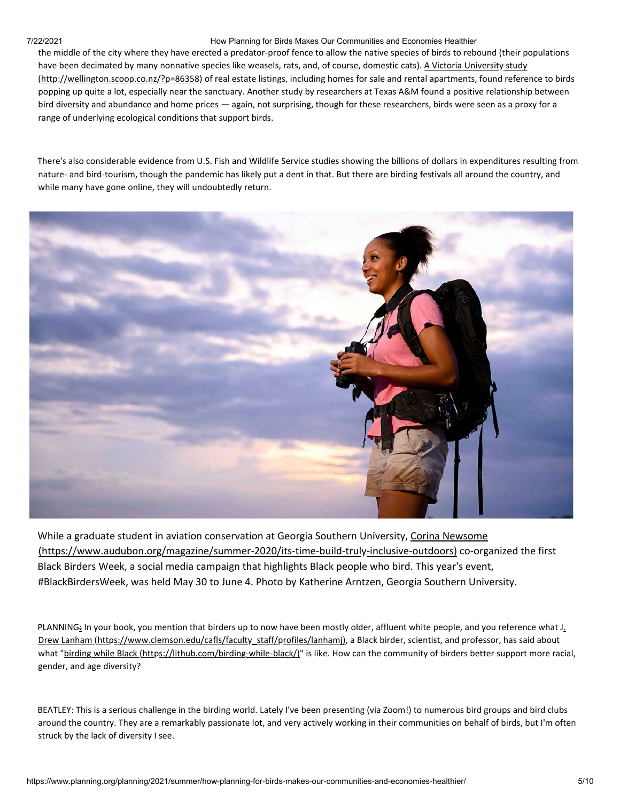the middle of the city where they have erected a predator‐proof fence to allow the native species of birds to rebound (their populations have been decimated by many nonnative species like weasels, rats, and, of course, domestic cats). A Victoria University study (http://wellington.scoop.co.nz/?p=86358) of real estate listings, including homes for sale and rental apartments, found reference to birds popping up quite a lot, especially near the sanctuary. Another study by researchers at Texas A&M found a positive relationship between bird diversity and abundance and home prices — again, not surprising, though for these researchers, birds were seen as a proxy for a range of underlying ecological conditions that support birds.

There's also considerable evidence from U.S. Fish and Wildlife Service studies showing the billions of dollars in expenditures resulting from nature- and bird-tourism, though the pandemic has likely put a dent in that. But there are birding festivals all around the country, and while many have gone online, they will undoubtedly return.



While a graduate student in aviation conservation at Georgia Southern University, Corina Newsome (https://www.audubon.org/magazine/summer‐2020/its‐time‐build‐truly‐inclusive‐outdoors) co‐organized the first Black Birders Week, a social media campaign that highlights Black people who bird. This year's event, #BlackBirdersWeek, was held May 30 to June 4. Photo by Katherine Arntzen, Georgia Southern University.

PLANNING: In your book, you mention that birders up to now have been mostly older, affluent white people, and you reference what J. Drew Lanham (https://www.clemson.edu/cafls/faculty\_staff/profiles/lanhamj), a Black birder, scientist, and professor, has said about what "birding while Black (https://lithub.com/birding-while-black/)" is like. How can the community of birders better support more racial, gender, and age diversity?

BEATLEY: This is a serious challenge in the birding world. Lately I've been presenting (via Zoom!) to numerous bird groups and bird clubs around the country. They are a remarkably passionate lot, and very actively working in their communities on behalf of birds, but I'm often struck by the lack of diversity I see.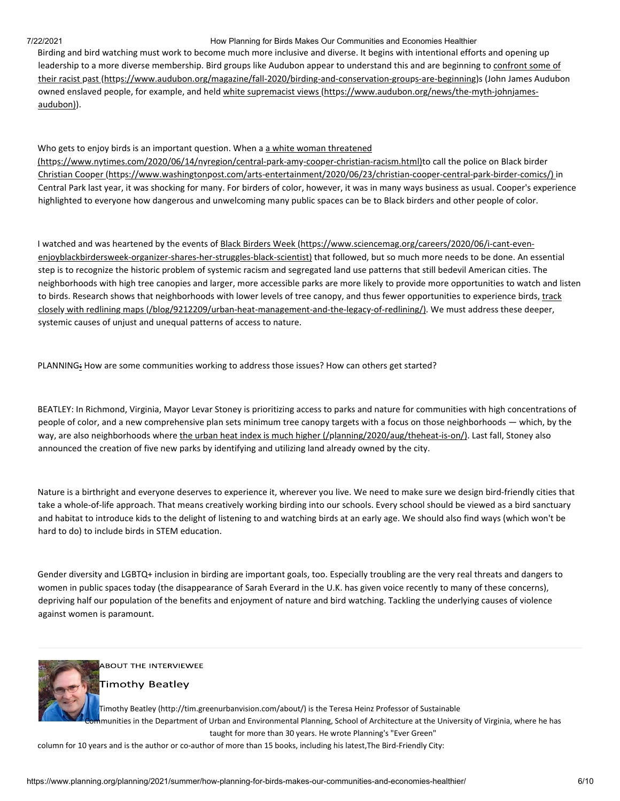Birding and bird watching must work to become much more inclusive and diverse. It begins with intentional efforts and opening up leadership to a more diverse membership. Bird groups like Audubon appear to understand this and are beginning to confront some of their racist past (https://www.audubon.org/magazine/fall-2020/birding-and-conservation-groups-are-beginning)s (John James Audubon owned enslaved people, for example, and held white supremacist views (https://www.audubon.org/news/the-myth-johnjamesaudubon)).

Who gets to enjoy birds is an important question. When a a white woman threatened (https://www.nytimes.com/2020/06/14/nyregion/central‐park‐amy‐cooper‐christian‐racism.html)to call the police on Black birder Christian Cooper (https://www.washingtonpost.com/arts‐entertainment/2020/06/23/christian‐cooper‐central‐park‐birder‐comics/) in Central Park last year, it was shocking for many. For birders of color, however, it was in many ways business as usual. Cooper's experience highlighted to everyone how dangerous and unwelcoming many public spaces can be to Black birders and other people of color.

I watched and was heartened by the events of Black Birders Week (https://www.sciencemag.org/careers/2020/06/i-cant-evenenjoyblackbirdersweek‐organizer‐shares‐her‐struggles‐black‐scientist) that followed, but so much more needs to be done. An essential step is to recognize the historic problem of systemic racism and segregated land use patterns that still bedevil American cities. The neighborhoods with high tree canopies and larger, more accessible parks are more likely to provide more opportunities to watch and listen to birds. Research shows that neighborhoods with lower levels of tree canopy, and thus fewer opportunities to experience birds, track closely with redlining maps (/blog/9212209/urban-heat-management-and-the-legacy-of-redlining/). We must address these deeper, systemic causes of unjust and unequal patterns of access to nature.

PLANNING: How are some communities working to address those issues? How can others get started?

BEATLEY: In Richmond, Virginia, Mayor Levar Stoney is prioritizing access to parks and nature for communities with high concentrations of people of color, and a new comprehensive plan sets minimum tree canopy targets with a focus on those neighborhoods — which, by the way, are also neighborhoods where the urban heat index is much higher (/planning/2020/aug/theheat-is-on/). Last fall, Stoney also announced the creation of five new parks by identifying and utilizing land already owned by the city.

Nature is a birthright and everyone deserves to experience it, wherever you live. We need to make sure we design bird‐friendly cities that take a whole‐of‐life approach. That means creatively working birding into our schools. Every school should be viewed as a bird sanctuary and habitat to introduce kids to the delight of listening to and watching birds at an early age. We should also find ways (which won't be hard to do) to include birds in STEM education.

Gender diversity and LGBTQ+ inclusion in birding are important goals, too. Especially troubling are the very real threats and dangers to women in public spaces today (the disappearance of Sarah Everard in the U.K. has given voice recently to many of these concerns), depriving half our population of the benefits and enjoyment of nature and bird watching. Tackling the underlying causes of violence against women is paramount.



**ABOUT THE INTERVIEWEE** 

**Timothy Beatley** 

Timothy Beatley (http://tim.greenurbanvision.com/about/) is the Teresa Heinz Professor of Sustainable **I**munities in the Department of Urban and Environmental Planning, School of Architecture at the University of Virginia, where he has taught for more than 30 years. He wrote Planning's "Ever Green"

column for 10 years and is the author or co-author of more than 15 books, including his latest,The Bird-Friendly City: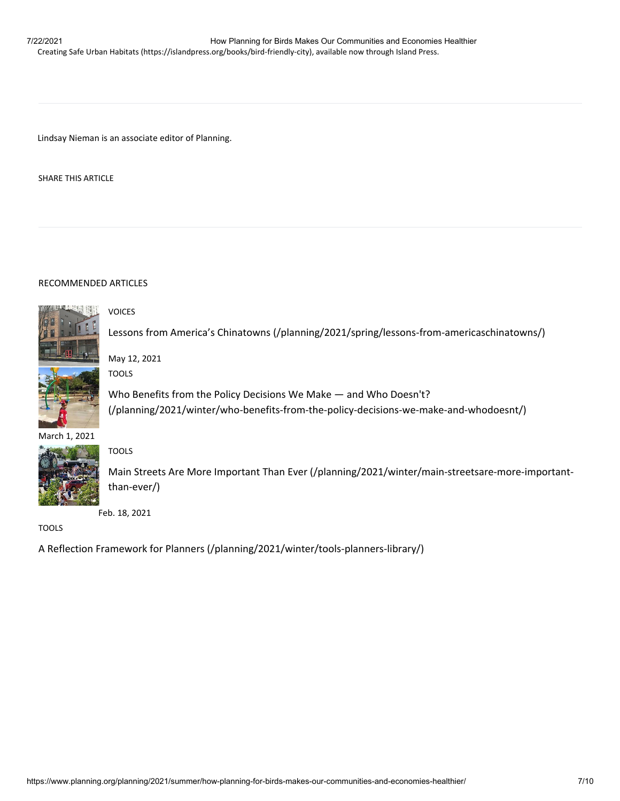Lindsay Nieman is an associate editor of Planning.

SHARE THIS ARTICLE

### RECOMMENDED ARTICLES



Lessons from America's Chinatowns (/planning/2021/spring/lessons-from-americaschinatowns/)

VOICES

May 12, 2021 TOOLS

Who Benefits from the Policy Decisions We Make — and Who Doesn't? (/planning/2021/winter/who‐benefits‐from‐the‐policy‐decisions‐we‐make‐and‐whodoesnt/)

### March 1, 2021



TOOLS

Main Streets Are More Important Than Ever (/planning/2021/winter/main‐streetsare‐more‐important‐ than‐ever/)

Feb. 18, 2021

TOOLS

A Reflection Framework for Planners (/planning/2021/winter/tools‐planners‐library/)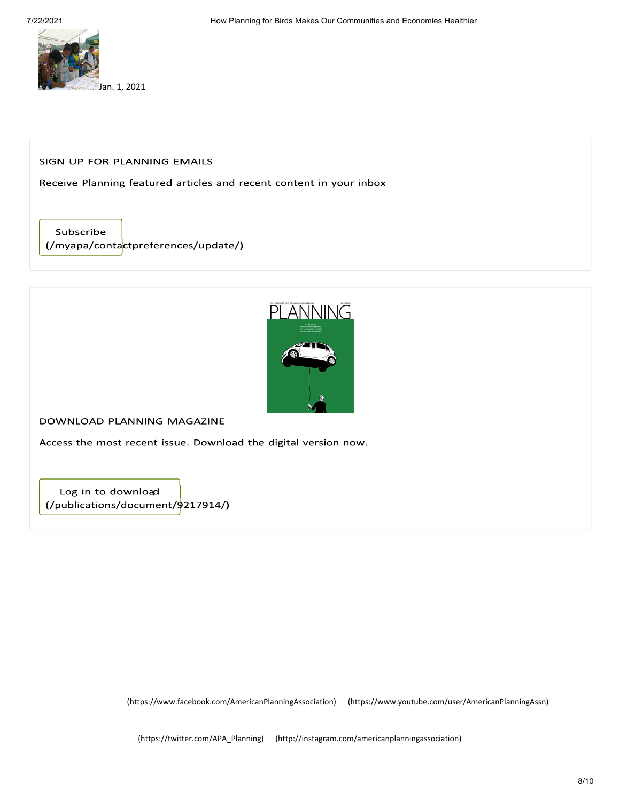

### SIGN UP FOR PLANNING EMAILS

Receive Planning featured articles and recent content in your inbox

Subscribe (/myapa/contactpreferences/update/)



DOWNLOAD PLANNING MAGAZINE

Access the most recent issue. Download the digital version now.

Log in to download  $\frac{1}{2}$  (/publications/document/ $\frac{1}{2}$ 217914/)

(https://www.facebook.com/AmericanPlanningAssociation) (https://www.youtube.com/user/AmericanPlanningAssn)

(https://twitter.com/APA\_Planning) (http://instagram.com/americanplanningassociation)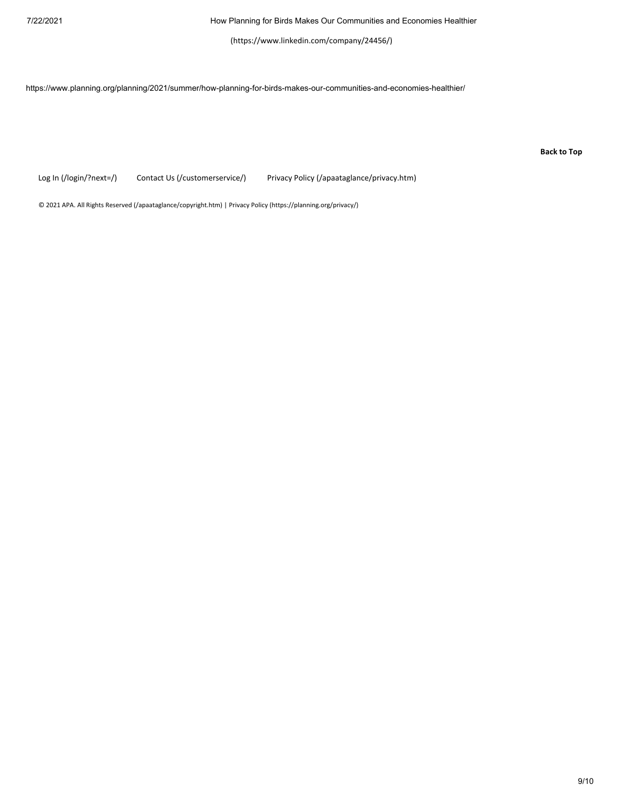(https://www.linkedin.com/company/24456/)

https://www.planning.org/planning/2021/summer/how-planning-for-birds-makes-our-communities-and-economies-healthier/

**Back to Top**

Log In (/login/?next=/) Contact Us (/customerservice/) Privacy Policy (/apaataglance/privacy.htm)

© 2021 APA. All Rights Reserved (/apaataglance/copyright.htm) | Privacy Policy (https://planning.org/privacy/)